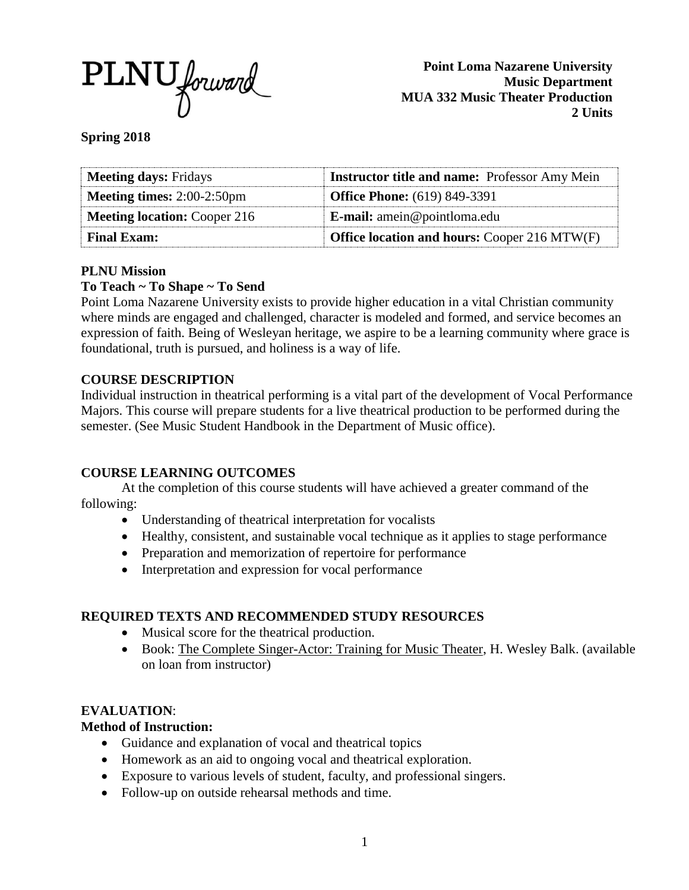

**Point Loma Nazarene University Music Department MUA 332 Music Theater Production 2 Units**

**Spring 2018**

| <b>Meeting days: Fridays</b>         | <b>Instructor title and name:</b> Professor Amy Mein |
|--------------------------------------|------------------------------------------------------|
| <b>Meeting times:</b> $2:00-2:50$ pm | <b>Office Phone:</b> (619) 849-3391                  |
| <b>Meeting location: Cooper 216</b>  | <b>E-mail:</b> amein@pointloma.edu                   |
| <b>Final Exam:</b>                   | <b>Office location and hours: Cooper 216 MTW(F)</b>  |

### **PLNU Mission**

# **To Teach ~ To Shape ~ To Send**

Point Loma Nazarene University exists to provide higher education in a vital Christian community where minds are engaged and challenged, character is modeled and formed, and service becomes an expression of faith. Being of Wesleyan heritage, we aspire to be a learning community where grace is foundational, truth is pursued, and holiness is a way of life.

## **COURSE DESCRIPTION**

Individual instruction in theatrical performing is a vital part of the development of Vocal Performance Majors. This course will prepare students for a live theatrical production to be performed during the semester. (See Music Student Handbook in the Department of Music office).

### **COURSE LEARNING OUTCOMES**

At the completion of this course students will have achieved a greater command of the following:

- Understanding of theatrical interpretation for vocalists
- Healthy, consistent, and sustainable vocal technique as it applies to stage performance
- Preparation and memorization of repertoire for performance
- Interpretation and expression for vocal performance

# **REQUIRED TEXTS AND RECOMMENDED STUDY RESOURCES**

- Musical score for the theatrical production.
- Book: The Complete Singer-Actor: Training for Music Theater, H. Wesley Balk. (available on loan from instructor)

### **EVALUATION**:

### **Method of Instruction:**

- Guidance and explanation of vocal and theatrical topics
- Homework as an aid to ongoing vocal and theatrical exploration.
- Exposure to various levels of student, faculty, and professional singers.
- Follow-up on outside rehearsal methods and time.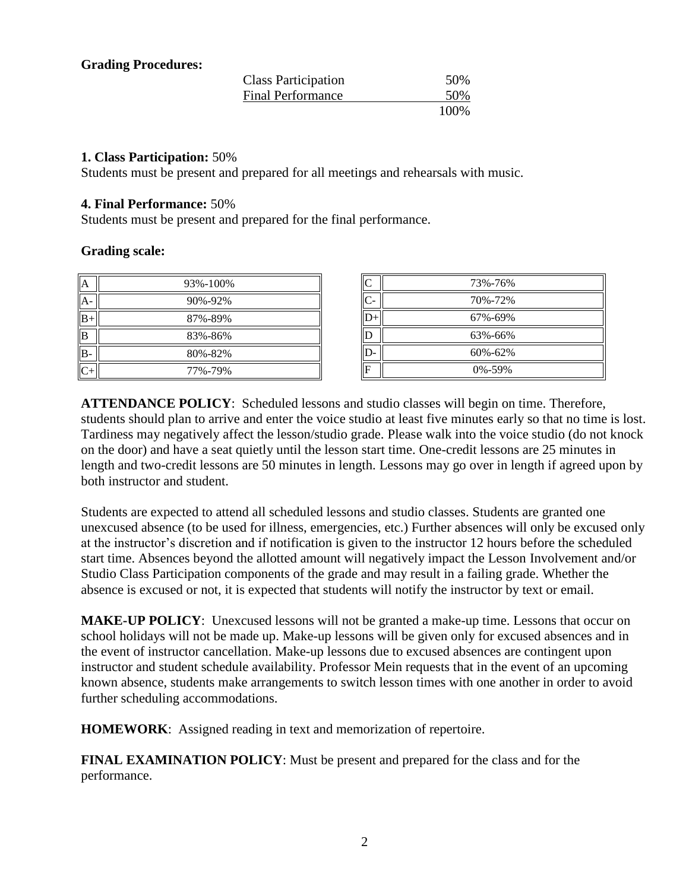#### **Grading Procedures:**

| <b>Class Participation</b> | 50%  |
|----------------------------|------|
| <b>Final Performance</b>   | 50%  |
|                            | 100% |

#### **1. Class Participation:** 50%

Students must be present and prepared for all meetings and rehearsals with music.

#### **4. Final Performance:** 50%

Students must be present and prepared for the final performance.

#### **Grading scale:**

| A           | 93%-100% |
|-------------|----------|
| A           | 90%-92%  |
| $_{\rm B+}$ | 87%-89%  |
| B           | 83%-86%  |
| $B -$       | 80%-82%  |
|             | 77%-79%  |

| C     | 73%-76%      |
|-------|--------------|
| $C -$ | 70%-72%      |
|       | 67%-69%      |
| Е     | 63%-66%      |
|       | 60%-62%      |
| F     | $0\% - 59\%$ |

**ATTENDANCE POLICY**: Scheduled lessons and studio classes will begin on time. Therefore, students should plan to arrive and enter the voice studio at least five minutes early so that no time is lost. Tardiness may negatively affect the lesson/studio grade. Please walk into the voice studio (do not knock on the door) and have a seat quietly until the lesson start time. One-credit lessons are 25 minutes in length and two-credit lessons are 50 minutes in length. Lessons may go over in length if agreed upon by both instructor and student.

Students are expected to attend all scheduled lessons and studio classes. Students are granted one unexcused absence (to be used for illness, emergencies, etc.) Further absences will only be excused only at the instructor's discretion and if notification is given to the instructor 12 hours before the scheduled start time. Absences beyond the allotted amount will negatively impact the Lesson Involvement and/or Studio Class Participation components of the grade and may result in a failing grade. Whether the absence is excused or not, it is expected that students will notify the instructor by text or email.

**MAKE-UP POLICY**: Unexcused lessons will not be granted a make-up time. Lessons that occur on school holidays will not be made up. Make-up lessons will be given only for excused absences and in the event of instructor cancellation. Make-up lessons due to excused absences are contingent upon instructor and student schedule availability. Professor Mein requests that in the event of an upcoming known absence, students make arrangements to switch lesson times with one another in order to avoid further scheduling accommodations.

**HOMEWORK**: Assigned reading in text and memorization of repertoire.

**FINAL EXAMINATION POLICY**: Must be present and prepared for the class and for the performance.